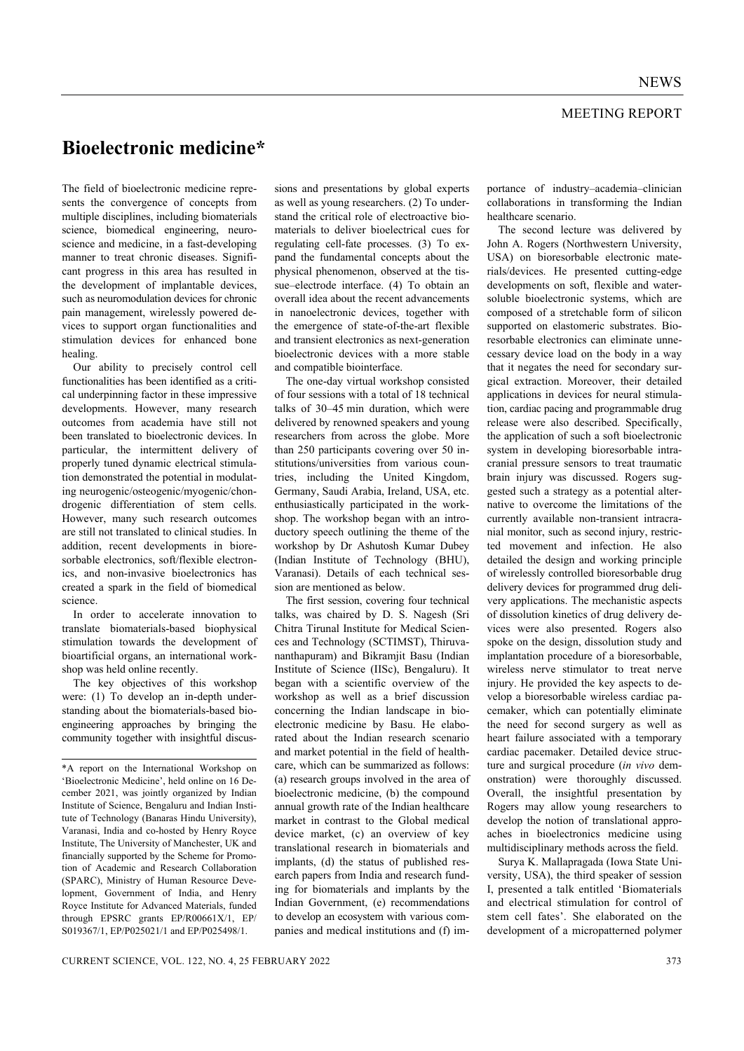## MEETING REPORT

## **Bioelectronic medicine\***

The field of bioelectronic medicine represents the convergence of concepts from multiple disciplines, including biomaterials science, biomedical engineering, neuroscience and medicine, in a fast-developing manner to treat chronic diseases. Significant progress in this area has resulted in the development of implantable devices, such as neuromodulation devices for chronic pain management, wirelessly powered devices to support organ functionalities and stimulation devices for enhanced bone healing.

 Our ability to precisely control cell functionalities has been identified as a critical underpinning factor in these impressive developments. However, many research outcomes from academia have still not been translated to bioelectronic devices. In particular, the intermittent delivery of properly tuned dynamic electrical stimulation demonstrated the potential in modulating neurogenic/osteogenic/myogenic/chondrogenic differentiation of stem cells. However, many such research outcomes are still not translated to clinical studies. In addition, recent developments in bioresorbable electronics, soft/flexible electronics, and non-invasive bioelectronics has created a spark in the field of biomedical science.

 In order to accelerate innovation to translate biomaterials-based biophysical stimulation towards the development of bioartificial organs, an international workshop was held online recently.

 The key objectives of this workshop were: (1) To develop an in-depth understanding about the biomaterials-based bioengineering approaches by bringing the community together with insightful discus-

sions and presentations by global experts as well as young researchers. (2) To understand the critical role of electroactive biomaterials to deliver bioelectrical cues for regulating cell-fate processes. (3) To expand the fundamental concepts about the physical phenomenon, observed at the tissue–electrode interface. (4) To obtain an overall idea about the recent advancements in nanoelectronic devices, together with the emergence of state-of-the-art flexible and transient electronics as next-generation bioelectronic devices with a more stable and compatible biointerface.

 The one-day virtual workshop consisted of four sessions with a total of 18 technical talks of 30–45 min duration, which were delivered by renowned speakers and young researchers from across the globe. More than 250 participants covering over 50 institutions/universities from various countries, including the United Kingdom, Germany, Saudi Arabia, Ireland, USA, etc. enthusiastically participated in the workshop. The workshop began with an introductory speech outlining the theme of the workshop by Dr Ashutosh Kumar Dubey (Indian Institute of Technology (BHU), Varanasi). Details of each technical session are mentioned as below.

 The first session, covering four technical talks, was chaired by D. S. Nagesh (Sri Chitra Tirunal Institute for Medical Sciences and Technology (SCTIMST), Thiruvananthapuram) and Bikramjit Basu (Indian Institute of Science (IISc), Bengaluru). It began with a scientific overview of the workshop as well as a brief discussion concerning the Indian landscape in bioelectronic medicine by Basu. He elaborated about the Indian research scenario and market potential in the field of healthcare, which can be summarized as follows: (a) research groups involved in the area of bioelectronic medicine, (b) the compound annual growth rate of the Indian healthcare market in contrast to the Global medical device market, (c) an overview of key translational research in biomaterials and implants, (d) the status of published research papers from India and research funding for biomaterials and implants by the Indian Government, (e) recommendations to develop an ecosystem with various companies and medical institutions and (f) importance of industry–academia–clinician collaborations in transforming the Indian healthcare scenario.

 The second lecture was delivered by John A. Rogers (Northwestern University, USA) on bioresorbable electronic materials/devices. He presented cutting-edge developments on soft, flexible and watersoluble bioelectronic systems, which are composed of a stretchable form of silicon supported on elastomeric substrates. Bioresorbable electronics can eliminate unnecessary device load on the body in a way that it negates the need for secondary surgical extraction. Moreover, their detailed applications in devices for neural stimulation, cardiac pacing and programmable drug release were also described. Specifically, the application of such a soft bioelectronic system in developing bioresorbable intracranial pressure sensors to treat traumatic brain injury was discussed. Rogers suggested such a strategy as a potential alternative to overcome the limitations of the currently available non-transient intracranial monitor, such as second injury, restricted movement and infection. He also detailed the design and working principle of wirelessly controlled bioresorbable drug delivery devices for programmed drug delivery applications. The mechanistic aspects of dissolution kinetics of drug delivery devices were also presented. Rogers also spoke on the design, dissolution study and implantation procedure of a bioresorbable, wireless nerve stimulator to treat nerve injury. He provided the key aspects to develop a bioresorbable wireless cardiac pacemaker, which can potentially eliminate the need for second surgery as well as heart failure associated with a temporary cardiac pacemaker. Detailed device structure and surgical procedure (*in vivo* demonstration) were thoroughly discussed. Overall, the insightful presentation by Rogers may allow young researchers to develop the notion of translational approaches in bioelectronics medicine using multidisciplinary methods across the field.

 Surya K. Mallapragada (Iowa State University, USA), the third speaker of session I, presented a talk entitled 'Biomaterials and electrical stimulation for control of stem cell fates'. She elaborated on the development of a micropatterned polymer

<sup>\*</sup>A report on the International Workshop on 'Bioelectronic Medicine', held online on 16 December 2021, was jointly organized by Indian Institute of Science, Bengaluru and Indian Institute of Technology (Banaras Hindu University), Varanasi, India and co-hosted by Henry Royce Institute, The University of Manchester, UK and financially supported by the Scheme for Promotion of Academic and Research Collaboration (SPARC), Ministry of Human Resource Development, Government of India, and Henry Royce Institute for Advanced Materials, funded through EPSRC grants EP/R00661X/1, EP/ S019367/1, EP/P025021/1 and EP/P025498/1.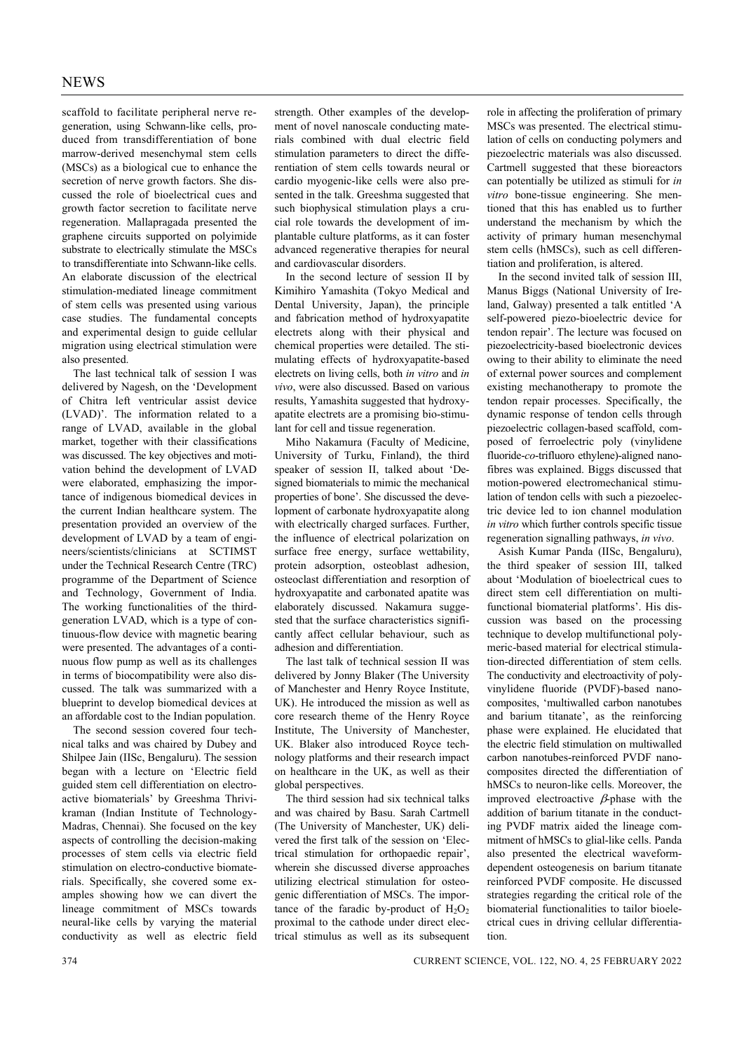scaffold to facilitate peripheral nerve regeneration, using Schwann-like cells, produced from transdifferentiation of bone marrow-derived mesenchymal stem cells (MSCs) as a biological cue to enhance the secretion of nerve growth factors. She discussed the role of bioelectrical cues and growth factor secretion to facilitate nerve regeneration. Mallapragada presented the graphene circuits supported on polyimide substrate to electrically stimulate the MSCs to transdifferentiate into Schwann-like cells. An elaborate discussion of the electrical stimulation-mediated lineage commitment of stem cells was presented using various case studies. The fundamental concepts and experimental design to guide cellular migration using electrical stimulation were also presented.

 The last technical talk of session I was delivered by Nagesh, on the 'Development of Chitra left ventricular assist device (LVAD)'. The information related to a range of LVAD, available in the global market, together with their classifications was discussed. The key objectives and motivation behind the development of LVAD were elaborated, emphasizing the importance of indigenous biomedical devices in the current Indian healthcare system. The presentation provided an overview of the development of LVAD by a team of engineers/scientists/clinicians at SCTIMST under the Technical Research Centre (TRC) programme of the Department of Science and Technology, Government of India. The working functionalities of the thirdgeneration LVAD, which is a type of continuous-flow device with magnetic bearing were presented. The advantages of a continuous flow pump as well as its challenges in terms of biocompatibility were also discussed. The talk was summarized with a blueprint to develop biomedical devices at an affordable cost to the Indian population.

 The second session covered four technical talks and was chaired by Dubey and Shilpee Jain (IISc, Bengaluru). The session began with a lecture on 'Electric field guided stem cell differentiation on electroactive biomaterials' by Greeshma Thrivikraman (Indian Institute of Technology-Madras, Chennai). She focused on the key aspects of controlling the decision-making processes of stem cells via electric field stimulation on electro-conductive biomaterials. Specifically, she covered some examples showing how we can divert the lineage commitment of MSCs towards neural-like cells by varying the material conductivity as well as electric field

strength. Other examples of the development of novel nanoscale conducting materials combined with dual electric field stimulation parameters to direct the differentiation of stem cells towards neural or cardio myogenic-like cells were also presented in the talk. Greeshma suggested that such biophysical stimulation plays a crucial role towards the development of implantable culture platforms, as it can foster advanced regenerative therapies for neural and cardiovascular disorders.

 In the second lecture of session II by Kimihiro Yamashita (Tokyo Medical and Dental University, Japan), the principle and fabrication method of hydroxyapatite electrets along with their physical and chemical properties were detailed. The stimulating effects of hydroxyapatite-based electrets on living cells, both *in vitro* and *in vivo*, were also discussed. Based on various results, Yamashita suggested that hydroxyapatite electrets are a promising bio-stimulant for cell and tissue regeneration.

 Miho Nakamura (Faculty of Medicine, University of Turku, Finland), the third speaker of session II, talked about 'Designed biomaterials to mimic the mechanical properties of bone'. She discussed the development of carbonate hydroxyapatite along with electrically charged surfaces. Further, the influence of electrical polarization on surface free energy, surface wettability, protein adsorption, osteoblast adhesion, osteoclast differentiation and resorption of hydroxyapatite and carbonated apatite was elaborately discussed. Nakamura suggested that the surface characteristics significantly affect cellular behaviour, such as adhesion and differentiation.

 The last talk of technical session II was delivered by Jonny Blaker (The University of Manchester and Henry Royce Institute, UK). He introduced the mission as well as core research theme of the Henry Royce Institute, The University of Manchester, UK. Blaker also introduced Royce technology platforms and their research impact on healthcare in the UK, as well as their global perspectives.

 The third session had six technical talks and was chaired by Basu. Sarah Cartmell (The University of Manchester, UK) delivered the first talk of the session on 'Electrical stimulation for orthopaedic repair', wherein she discussed diverse approaches utilizing electrical stimulation for osteogenic differentiation of MSCs. The importance of the faradic by-product of  $H_2O_2$ proximal to the cathode under direct electrical stimulus as well as its subsequent role in affecting the proliferation of primary MSCs was presented. The electrical stimulation of cells on conducting polymers and piezoelectric materials was also discussed. Cartmell suggested that these bioreactors can potentially be utilized as stimuli for *in vitro* bone-tissue engineering. She mentioned that this has enabled us to further understand the mechanism by which the activity of primary human mesenchymal stem cells (hMSCs), such as cell differentiation and proliferation, is altered.

 In the second invited talk of session III, Manus Biggs (National University of Ireland, Galway) presented a talk entitled 'A self-powered piezo-bioelectric device for tendon repair'. The lecture was focused on piezoelectricity-based bioelectronic devices owing to their ability to eliminate the need of external power sources and complement existing mechanotherapy to promote the tendon repair processes. Specifically, the dynamic response of tendon cells through piezoelectric collagen-based scaffold, composed of ferroelectric poly (vinylidene fluoride-*co*-trifluoro ethylene)-aligned nanofibres was explained. Biggs discussed that motion-powered electromechanical stimulation of tendon cells with such a piezoelectric device led to ion channel modulation *in vitro* which further controls specific tissue regeneration signalling pathways, *in vivo*.

 Asish Kumar Panda (IISc, Bengaluru), the third speaker of session III, talked about 'Modulation of bioelectrical cues to direct stem cell differentiation on multifunctional biomaterial platforms'. His discussion was based on the processing technique to develop multifunctional polymeric-based material for electrical stimulation-directed differentiation of stem cells. The conductivity and electroactivity of polyvinylidene fluoride (PVDF)-based nanocomposites, 'multiwalled carbon nanotubes and barium titanate', as the reinforcing phase were explained. He elucidated that the electric field stimulation on multiwalled carbon nanotubes-reinforced PVDF nanocomposites directed the differentiation of hMSCs to neuron-like cells. Moreover, the improved electroactive  $\beta$ -phase with the addition of barium titanate in the conducting PVDF matrix aided the lineage commitment of hMSCs to glial-like cells. Panda also presented the electrical waveformdependent osteogenesis on barium titanate reinforced PVDF composite. He discussed strategies regarding the critical role of the biomaterial functionalities to tailor bioelectrical cues in driving cellular differentiation.